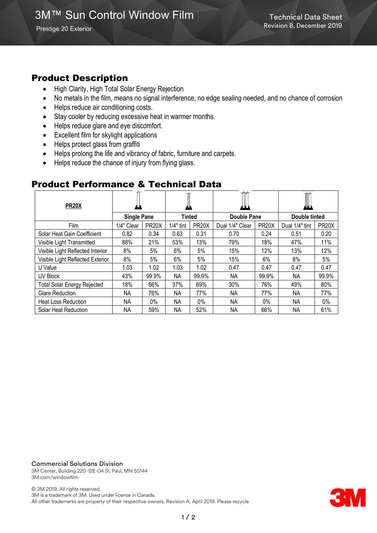Prestige 20 Exterior

# Product Description

- High Clarity, High Total Solar Energy Rejection
- No metals in the film, means no signal interference, no edge sealing needed, and no chance of corrosion
- Helps reduce air conditioning costs.
- Stay cooler by reducing excessive heat in warmer months.
- Helps reduce glare and eye discomfort.
- Excellent film for skylight applications
- Helps protect glass from graffiti
- Helps prolong the life and vibrancy of fabric, furniture and carpets.
- Helps reduce the chance of injury from flying glass.

## Product Performance & Technical Data

| <b>PR20X</b>                       |                    |                    |           |                    |                    |                    |                |                    |
|------------------------------------|--------------------|--------------------|-----------|--------------------|--------------------|--------------------|----------------|--------------------|
|                                    | <b>Single Pane</b> |                    | Tinted    |                    | <b>Double Pane</b> |                    | Double tinted  |                    |
| Film                               | 1/4" Clear         | PR <sub>20</sub> X | 1/4" tint | PR <sub>20</sub> X | Dual 1/4" Clear    | PR <sub>20</sub> X | Dual 1/4" tint | PR <sub>20</sub> X |
| Solar Heat Gain Coefficient        | 0.82               | 0.34               | 0.63      | 0.31               | 0.70               | 0.24               | 0.51           | 0.20               |
| Visible Light Transmitted          | 88%                | 21%                | 53%       | 13%                | 79%                | 18%                | 47%            | 11%                |
| Visible Light Reflected Interior   | 8%                 | 5%                 | 6%        | 5%                 | 15%                | 12%                | 13%            | 12%                |
| Visible Light Reflected Exterior   | 8%                 | 5%                 | 6%        | 5%                 | 15%                | 6%                 | 8%             | 5%                 |
| U Value                            | 1.03               | 1.02               | 1.03      | 1.02               | 0.47               | 0.47               | 0.47           | 0.47               |
| UV Block                           | 43%                | 99.9%              | <b>NA</b> | 99.9%              | NA                 | 99.9%              | <b>NA</b>      | 99.9%              |
| <b>Total Solar Energy Rejected</b> | 18%                | 66%                | 37%       | 69%                | 30%                | 76%                | 49%            | 80%                |
| <b>Glare Reduction</b>             | NA                 | 76%                | ΝA        | 77%                | NА                 | 77%                | ΝA             | 77%                |
| <b>Heat Loss Reduction</b>         | <b>NA</b>          | $0\%$              | NА        | $0\%$              | NA                 | $0\%$              | <b>NA</b>      | $0\%$              |
| <b>Solar Heat Reduction</b>        | ΝA                 | 59%                | ΝA        | 52%                | NА                 | 66%                | ΝA             | 61%                |

#### Commercial Solutions Division

3M Center, Building 220-12E-04 St. Paul, MN 55144 3M.com/windowfilm

© 3M 2019. All rights reserved. 3M is a trademark of 3M. Used under license in Canada. All other trademarks are property of their respective owners. Revision A, April 2019. Please recycle.